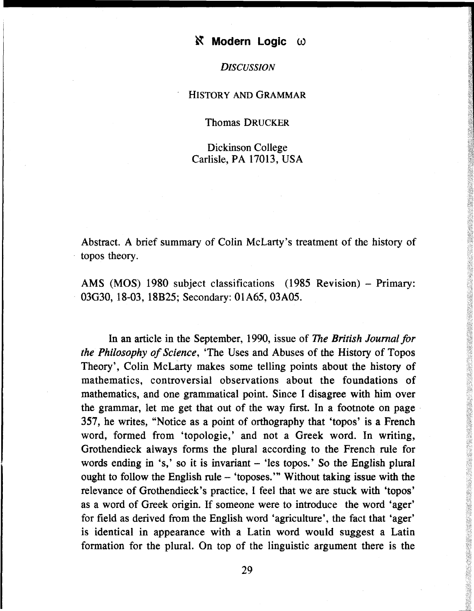## *DISCUSSION*

## HISTORY AND GRAMMAR

## Thomas DRUCKER

Dickinson College Carlisle, PA 17013, USA

Abstract. A brief summary of Colin McLarty's treatment of the history of topos theory.

AMS (MOS) 1980 subject classifications (1985 Revision) – Primary: 03G30, 18-03, 18B25; Secondary: 01A65, 03A05.

In an article in the September, 1990, issue of *The British Journal for the Philosophy of Science,* 'The Uses and Abuses of the History of Topos Theory', Colin McLarty makes some telling points about the history of mathematics, controversial observations about the foundations of mathematics, and one grammatical point. Since I disagree with him over the grammar, let me get that out of the way first. In a footnote on page 357, he writes, "Notice as a point of orthography that 'topos' is a French word, formed from 'topologie,' and not a Greek word. In writing, Grothendieck always forms the plural according to the French rule for words ending in 's,' so it is invariant  $-$  'les topos.' So the English plural ought to follow the English rule  $-$  'toposes.'" Without taking issue with the relevance of Grothendieck's practice, I feel that we are stuck with 'topos' as a word of Greek origin. If someone were to introduce the word 'ager' for field as derived from the English word 'agriculture', the fact that 'ager' is identical in appearance with a Latin word would suggest a Latin formation for the plural. On top of the linguistic argument there is the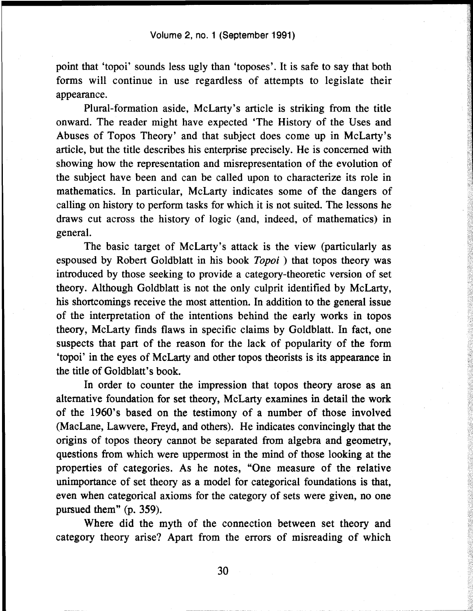point that 'topoi' sounds less ugly than 'toposes'. It is safe to say that both forms will continue in use regardless of attempts to legislate their appearance.

Plural-formation aside, McLarty's article is striking from the title onward. The reader might have expected 'The History of the Uses and Abuses of Topos Theory' and that subject does come up in McLarty's article, but the title describes his enterprise precisely. He is concerned with showing how the representation and misrepresentation of the evolution of the subject have been and can be called upon to characterize its role in mathematics. In particular, McLarty indicates some of the dangers of calling on history to perform tasks for which it is not suited. The lessons he draws cut across the history of logic (and, indeed, of mathematics) in general.

The basic target of McLarty's attack is the view (particularly as espoused by Robert Goldblatt in his book *Topoi* ) that topos theory was introduced by those seeking to provide a category-theoretic version of set theory. Although Goldblatt is not the only culprit identified by McLarty, his shortcomings receive the most attention. In addition to the general issue of the interpretation of the intentions behind the early works in topos theory, McLarty finds flaws in specific claims by Goldblatt. In fact, one suspects that part of the reason for the lack of popularity of the form 'topoi' in the eyes of McLarty and other topos theorists is its appearance in the title of Goldblatt's book.

In order to counter the impression that topos theory arose as an alternative foundation for set theory, McLarty examines in detail the work of the I960's based on the testimony of a number of those involved (MacLane, Lawvere, Freyd, and others). He indicates convincingly that the origins of topos theory cannot be separated from algebra and geometry, questions from which were uppermost in the mind of those looking at the properties of categories. As he notes, "One measure of the relative unimportance of set theory as a model for categorical foundations is that, even when categorical axioms for the category of sets were given, no one pursued them" (p. 359).

Where did the myth of the connection between set theory and category theory arise? Apart from the errors of misreading of which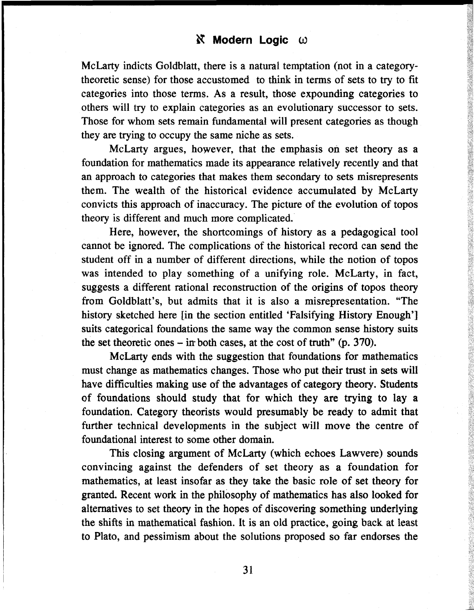McLarty indicts Goldblatt, there is a natural temptation (not in a categorytheoretic sense) for those accustomed to think in terms of sets to try to fit categories into those terms. As a result, those expounding categories to others will try to explain categories as an evolutionary successor to sets. Those for whom sets remain fundamental will present categories as though they are trying to occupy the same niche as sets.

McLarty argues, however, that the emphasis on set theory as a foundation for mathematics made its appearance relatively recently and that an approach to categories that makes them secondary to sets misrepresents them. The wealth of the historical evidence accumulated by McLarty convicts this approach of inaccuracy. The picture of the evolution of topos theory is different and much more complicated.

Here, however, the shortcomings of history as a pedagogical tool cannot be ignored. The complications of the historical record can send the student off in a number of different directions, while the notion of topos was intended to play something of a unifying role. McLarty, in fact, suggests a different rational reconstruction of the origins of topos theory from Goldblatt's, but admits that it is also a misrepresentation. "The history sketched here *fin* the section entitled 'Falsifying History Enough'] suits categorical foundations the same way the common sense history suits the set theoretic ones  $-$  in both cases, at the cost of truth" (p. 370).

McLarty ends with the suggestion that foundations for mathematics must change as mathematics changes. Those who put their trust in sets will have difficulties making use of the advantages of category theory. Students of foundations should study that for which they are trying to lay a foundation. Category theorists would presumably be ready to admit that further technical developments in the subject will move the centre of foundational interest to some other domain.

This closing argument of McLarty (which echoes Lawvere) sounds convincing against the defenders of set theory as a foundation for mathematics, at least insofar as they take the basic role of set theory for granted. Recent work in the philosophy of mathematics has also looked for alternatives to set theory in the hopes of discovering something underlying the shifts in mathematical fashion. It is an old practice, going back at least to Plato, and pessimism about the solutions proposed so far endorses the

**31**